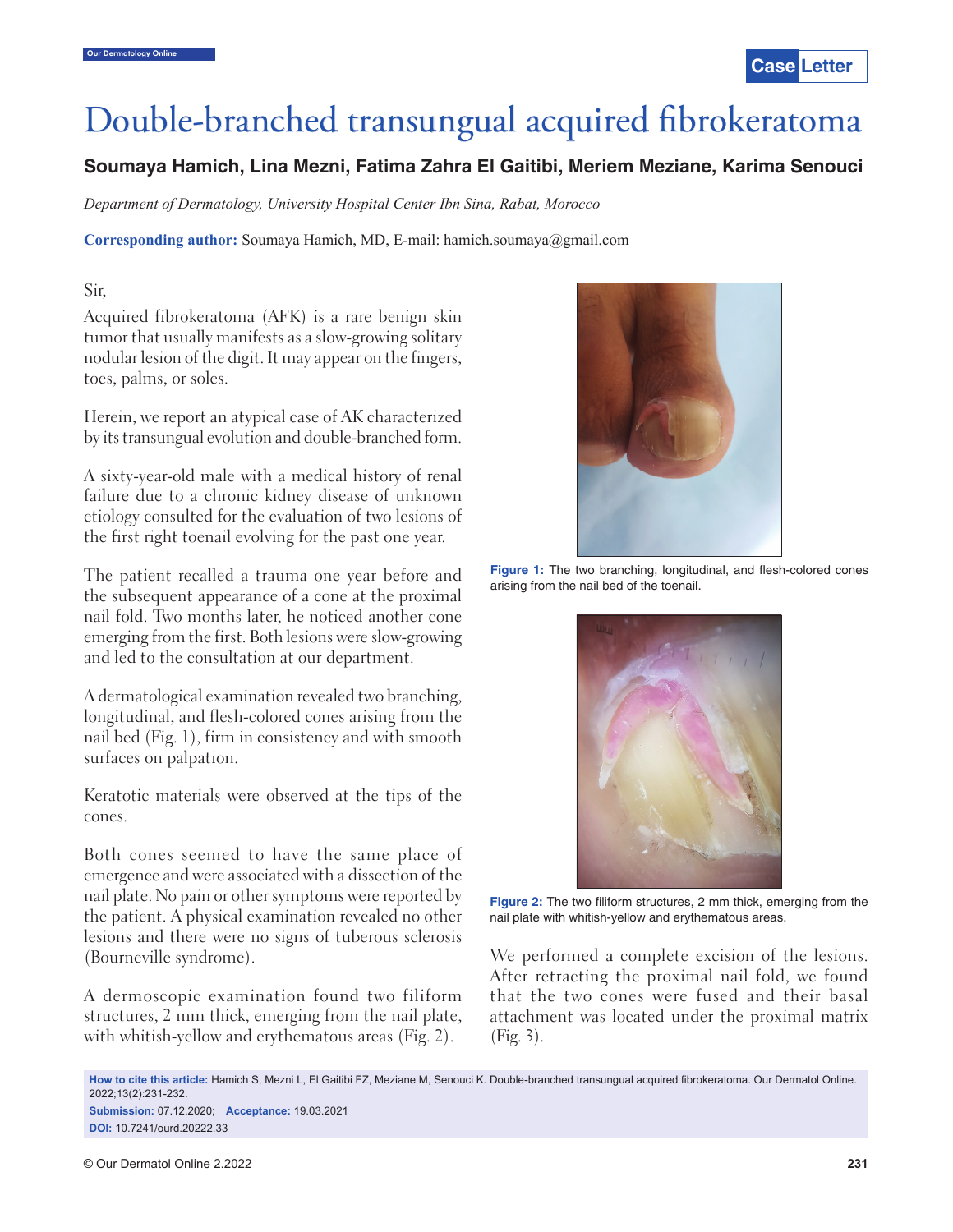# Double-branched transungual acquired fibrokeratoma

## **Soumaya Hamich, Lina Mezni, Fatima Zahra El Gaitibi, Meriem Meziane, Karima Senouci**

*Department of Dermatology, University Hospital Center Ibn Sina, Rabat, Morocco*

**Corresponding author:** Soumaya Hamich, MD, E-mail: hamich.soumaya@gmail.com

#### Sir,

Acquired fibrokeratoma (AFK) is a rare benign skin tumor that usually manifests as a slow-growing solitary nodular lesion of the digit. It may appear on the fingers, toes, palms, or soles.

Herein, we report an atypical case of AK characterized by its transungual evolution and double-branched form.

A sixty-year-old male with a medical history of renal failure due to a chronic kidney disease of unknown etiology consulted for the evaluation of two lesions of the first right toenail evolving for the past one year.

The patient recalled a trauma one year before and the subsequent appearance of a cone at the proximal nail fold. Two months later, he noticed another cone emerging from the first. Both lesions were slow-growing and led to the consultation at our department.

A dermatological examination revealed two branching, longitudinal, and flesh-colored cones arising from the nail bed (Fig. 1), firm in consistency and with smooth surfaces on palpation.

Keratotic materials were observed at the tips of the cones.

Both cones seemed to have the same place of emergence and were associated with a dissection of the nail plate. No pain or other symptoms were reported by the patient. A physical examination revealed no other lesions and there were no signs of tuberous sclerosis (Bourneville syndrome).

A dermoscopic examination found two filiform structures, 2 mm thick, emerging from the nail plate, with whitish-yellow and erythematous areas (Fig. 2).



Figure 1: The two branching, longitudinal, and flesh-colored cones arising from the nail bed of the toenail.



**Figure 2:** The two filiform structures, 2 mm thick, emerging from the nail plate with whitish-yellow and erythematous areas.

We performed a complete excision of the lesions. After retracting the proximal nail fold, we found that the two cones were fused and their basal attachment was located under the proximal matrix (Fig. 3).

How to cite this article: Hamich S, Mezni L, El Gaitibi FZ, Meziane M, Senouci K. Double-branched transungual acquired fibrokeratoma. Our Dermatol Online. 2022;13(2):231-232. **Submission:** 07.12.2020; **Acceptance:** 19.03.2021

**DOI:** 10.7241/ourd.20222.33